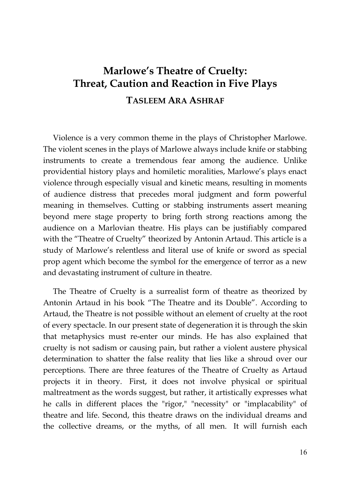## **Marlowe's Theatre of Cruelty: Threat, Caution and Reaction in Five Plays TASLEEM ARA ASHRAF**

Violence is a very common theme in the plays of Christopher Marlowe. The violent scenes in the plays of Marlowe always include knife or stabbing instruments to create a tremendous fear among the audience. Unlike providential history plays and homiletic moralities, Marlowe's plays enact violence through especially visual and kinetic means, resulting in moments of audience distress that precedes moral judgment and form powerful meaning in themselves. Cutting or stabbing instruments assert meaning beyond mere stage property to bring forth strong reactions among the audience on a Marlovian theatre. His plays can be justifiably compared with the "Theatre of Cruelty" theorized by Antonin Artaud. This article is a study of Marlowe's relentless and literal use of knife or sword as special prop agent which become the symbol for the emergence of terror as a new and devastating instrument of culture in theatre.

The Theatre of Cruelty is a surrealist form of theatre as theorized by Antonin Artaud in his book "The Theatre and its Double". According to Artaud, the Theatre is not possible without an element of cruelty at the root of every spectacle. In our present state of degeneration it is through the skin that metaphysics must re-enter our minds. He has also explained that cruelty is not sadism or causing pain, but rather a violent austere physical determination to shatter the false reality that lies like a shroud over our perceptions. There are three features of the Theatre of Cruelty as Artaud projects it in theory. First, it does not involve physical or spiritual maltreatment as the words suggest, but rather, it artistically expresses what he calls in different places the "rigor," "necessity" or "implacability" of theatre and life. Second, this theatre draws on the individual dreams and the collective dreams, or the myths, of all men. It will furnish each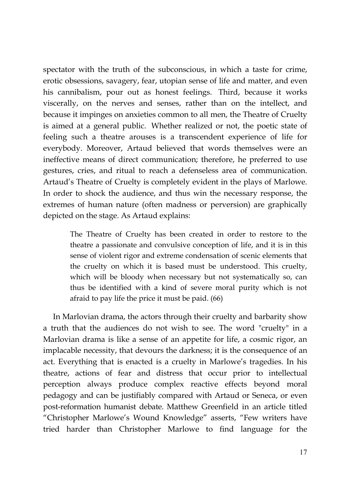spectator with the truth of the subconscious, in which a taste for crime, erotic obsessions, savagery, fear, utopian sense of life and matter, and even his cannibalism, pour out as honest feelings. Third, because it works viscerally, on the nerves and senses, rather than on the intellect, and because it impinges on anxieties common to all men, the Theatre of Cruelty is aimed at a general public. Whether realized or not, the poetic state of feeling such a theatre arouses is a transcendent experience of life for everybody. Moreover, Artaud believed that words themselves were an ineffective means of direct communication; therefore, he preferred to use gestures, cries, and ritual to reach a defenseless area of communication. Artaud's Theatre of Cruelty is completely evident in the plays of Marlowe. In order to shock the audience, and thus win the necessary response, the extremes of human nature (often madness or perversion) are graphically depicted on the stage. As Artaud explains:

> The Theatre of Cruelty has been created in order to restore to the theatre a passionate and convulsive conception of life, and it is in this sense of violent rigor and extreme condensation of scenic elements that the cruelty on which it is based must be understood. This cruelty, which will be bloody when necessary but not systematically so, can thus be identified with a kind of severe moral purity which is not afraid to pay life the price it must be paid. (66)

In Marlovian drama, the actors through their cruelty and barbarity show a truth that the audiences do not wish to see. The word "cruelty" in a Marlovian drama is like a sense of an appetite for life, a cosmic rigor, an implacable necessity, that devours the darkness; it is the consequence of an act. Everything that is enacted is a cruelty in Marlowe's tragedies. In his theatre, actions of fear and distress that occur prior to intellectual perception always produce complex reactive effects beyond moral pedagogy and can be justifiably compared with Artaud or Seneca, or even post-reformation humanist debate. Matthew Greenfield in an article titled "Christopher Marlowe's Wound Knowledge" asserts, "Few writers have tried harder than Christopher Marlowe to find language for the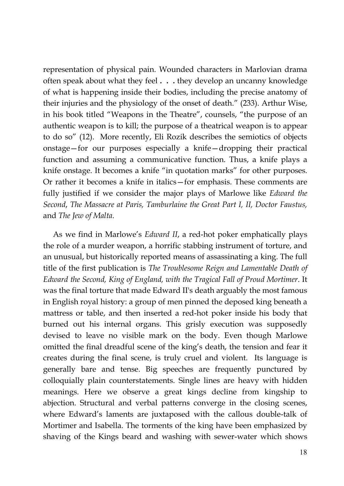representation of physical pain. Wounded characters in Marlovian drama often speak about what they feel **. . .** they develop an uncanny knowledge of what is happening inside their bodies, including the precise anatomy of their injuries and the physiology of the onset of death." (233). Arthur Wise, in his book titled "Weapons in the Theatre", counsels, "the purpose of an authentic weapon is to kill; the purpose of a theatrical weapon is to appear to do so" (12). More recently, Eli Rozik describes the semiotics of objects onstage—for our purposes especially a knife—dropping their practical function and assuming a communicative function. Thus, a knife plays a knife onstage. It becomes a knife "in quotation marks" for other purposes. Or rather it becomes a knife in italics—for emphasis. These comments are fully justified if we consider the major plays of Marlowe like *Edward the Second*, *The Massacre at Paris, Tamburlaine the Great Part I, II, Doctor Faustus,* and *The Jew of Malta*.

As we find in Marlowe's *Edward II*, a red-hot poker emphatically plays the role of a murder weapon, a horrific stabbing instrument of torture, and an unusual, but historically reported means of assassinating a king. The full title of the first publication is *The Troublesome Reign and Lamentable Death of Edward the Second, King of England, with the Tragical Fall of Proud Mortimer*. It was the final torture that made Edward II's death arguably the most famous in English royal history: a group of men pinned the deposed king beneath a mattress or table, and then inserted a red-hot poker inside his body that burned out his internal organs. This grisly execution was supposedly devised to leave no visible mark on the body. Even though Marlowe omitted the final dreadful scene of the king's death, the tension and fear it creates during the final scene, is truly cruel and violent. Its language is generally bare and tense. Big speeches are frequently punctured by colloquially plain counterstatements. Single lines are heavy with hidden meanings. Here we observe a great kings decline from kingship to abjection. Structural and verbal patterns converge in the closing scenes, where Edward's laments are juxtaposed with the callous double-talk of Mortimer and Isabella. The torments of the king have been emphasized by shaving of the Kings beard and washing with sewer-water which shows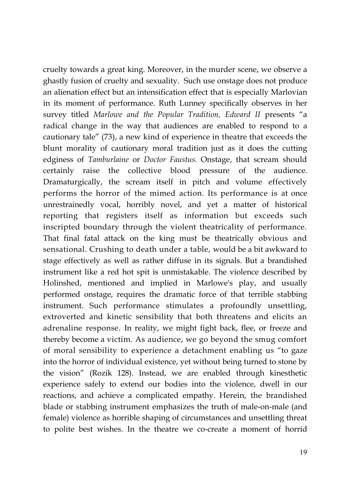cruelty towards a great king. Moreover, in the murder scene, we observe a ghastly fusion of cruelty and sexuality. Such use onstage does not produce an alienation effect but an intensification effect that is especially Marlovian in its moment of performance. Ruth Lunney specifically observes in her survey titled *Marlowe and the Popular Tradition, Edward II* presents "a radical change in the way that audiences are enabled to respond to a cautionary tale" (73), a new kind of experience in theatre that exceeds the blunt morality of cautionary moral tradition just as it does the cutting edginess of *Tamburlaine* or *Doctor Faustus*. Onstage, that scream should certainly raise the collective blood pressure of the audience. Dramaturgically, the scream itself in pitch and volume effectively performs the horror of the mimed action. Its performance is at once unrestrainedly vocal, horribly novel, and yet a matter of historical reporting that registers itself as information but exceeds such inscripted boundary through the violent theatricality of performance. That final fatal attack on the king must be theatrically obvious and sensational. Crushing to death under a table, would be a bit awkward to stage effectively as well as rather diffuse in its signals. But a brandished instrument like a red hot spit is unmistakable. The violence described by Holinshed, mentioned and implied in Marlowe's play, and usually performed onstage, requires the dramatic force of that terrible stabbing instrument. Such performance stimulates a profoundly unsettling, extroverted and kinetic sensibility that both threatens and elicits an adrenaline response. In reality, we might fight back, flee, or freeze and thereby become a victim. As audience, we go beyond the smug comfort of moral sensibility to experience a detachment enabling us "to gaze into the horror of individual existence, yet without being turned to stone by the vision" (Rozik 128). Instead, we are enabled through kinesthetic experience safely to extend our bodies into the violence, dwell in our reactions, and achieve a complicated empathy. Herein, the brandished blade or stabbing instrument emphasizes the truth of male-on-male (and female) violence as horrible shaping of circumstances and unsettling threat to polite best wishes. In the theatre we co-create a moment of horrid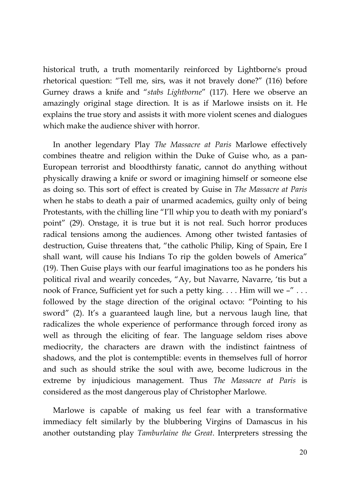historical truth, a truth momentarily reinforced by Lightborne's proud rhetorical question: "Tell me, sirs, was it not bravely done?" (116) before Gurney draws a knife and "*stabs Lightborne*" (117). Here we observe an amazingly original stage direction. It is as if Marlowe insists on it. He explains the true story and assists it with more violent scenes and dialogues which make the audience shiver with horror.

In another legendary Play *The Massacre at Paris* Marlowe effectively combines theatre and religion within the Duke of Guise who, as a pan-European terrorist and bloodthirsty fanatic, cannot do anything without physically drawing a knife or sword or imagining himself or someone else as doing so. This sort of effect is created by Guise in *The Massacre at Paris* when he stabs to death a pair of unarmed academics, guilty only of being Protestants, with the chilling line "I'll whip you to death with my poniard's point" (29). Onstage, it is true but it is not real. Such horror produces radical tensions among the audiences. Among other twisted fantasies of destruction, Guise threatens that, "the catholic Philip, King of Spain, Ere I shall want, will cause his Indians To rip the golden bowels of America" (19). Then Guise plays with our fearful imaginations too as he ponders his political rival and wearily concedes, "Ay, but Navarre, Navarre, 'tis but a nook of France, Sufficient yet for such a petty king. . . . Him will we –"... followed by the stage direction of the original octavo: "Pointing to his sword" (2). It's a guaranteed laugh line, but a nervous laugh line, that radicalizes the whole experience of performance through forced irony as well as through the eliciting of fear. The language seldom rises above mediocrity, the characters are drawn with the indistinct faintness of shadows, and the plot is contemptible: events in themselves full of horror and such as should strike the soul with awe, become ludicrous in the extreme by injudicious management. Thus *The Massacre at Paris* is considered as the most dangerous play of Christopher Marlowe.

Marlowe is capable of making us feel fear with a transformative immediacy felt similarly by the blubbering Virgins of Damascus in his another outstanding play *Tamburlaine the Great*. Interpreters stressing the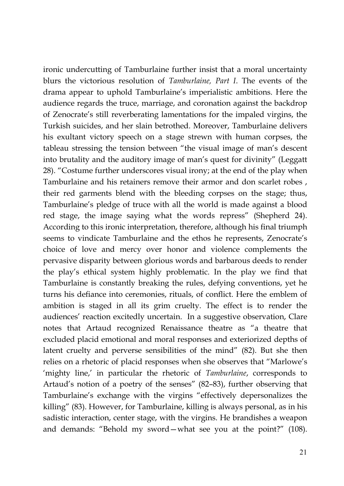ironic undercutting of Tamburlaine further insist that a moral uncertainty blurs the victorious resolution of *Tamburlaine, Part I*. The events of the drama appear to uphold Tamburlaine's imperialistic ambitions. Here the audience regards the truce, marriage, and coronation against the backdrop of Zenocrate's still reverberating lamentations for the impaled virgins, the Turkish suicides, and her slain betrothed. Moreover, Tamburlaine delivers his exultant victory speech on a stage strewn with human corpses, the tableau stressing the tension between "the visual image of man's descent into brutality and the auditory image of man's quest for divinity" (Leggatt 28). "Costume further underscores visual irony; at the end of the play when Tamburlaine and his retainers remove their armor and don scarlet robes , their red garments blend with the bleeding corpses on the stage; thus, Tamburlaine's pledge of truce with all the world is made against a blood red stage, the image saying what the words repress" (Shepherd 24). According to this ironic interpretation, therefore, although his final triumph seems to vindicate Tamburlaine and the ethos he represents, Zenocrate's choice of love and mercy over honor and violence complements the pervasive disparity between glorious words and barbarous deeds to render the play's ethical system highly problematic. In the play we find that Tamburlaine is constantly breaking the rules, defying conventions, yet he turns his defiance into ceremonies, rituals, of conflict. Here the emblem of ambition is staged in all its grim cruelty. The effect is to render the audiences' reaction excitedly uncertain. In a suggestive observation, Clare notes that Artaud recognized Renaissance theatre as "a theatre that excluded placid emotional and moral responses and exteriorized depths of latent cruelty and perverse sensibilities of the mind" (82). But she then relies on a rhetoric of placid responses when she observes that "Marlowe's 'mighty line,' in particular the rhetoric of *Tamburlaine*, corresponds to Artaud's notion of a poetry of the senses" (82–83), further observing that Tamburlaine's exchange with the virgins "effectively depersonalizes the killing" (83). However, for Tamburlaine, killing is always personal, as in his sadistic interaction, center stage, with the virgins. He brandishes a weapon and demands: "Behold my sword—what see you at the point?" (108).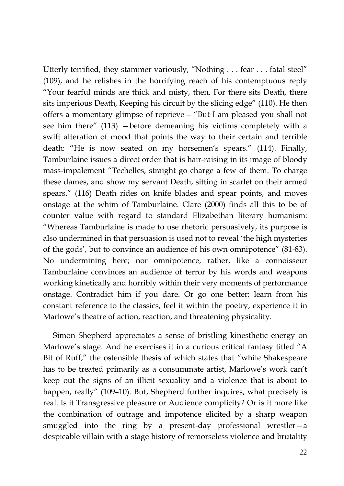Utterly terrified, they stammer variously, "Nothing . . . fear . . . fatal steel" (109), and he relishes in the horrifying reach of his contemptuous reply "Your fearful minds are thick and misty, then, For there sits Death, there sits imperious Death, Keeping his circuit by the slicing edge" (110). He then offers a momentary glimpse of reprieve – "But I am pleased you shall not see him there" (113) —before demeaning his victims completely with a swift alteration of mood that points the way to their certain and terrible death: "He is now seated on my horsemen's spears." (114). Finally, Tamburlaine issues a direct order that is hair-raising in its image of bloody mass-impalement "Techelles, straight go charge a few of them. To charge these dames, and show my servant Death, sitting in scarlet on their armed spears." (116) Death rides on knife blades and spear points, and moves onstage at the whim of Tamburlaine. Clare (2000) finds all this to be of counter value with regard to standard Elizabethan literary humanism: "Whereas Tamburlaine is made to use rhetoric persuasively, its purpose is also undermined in that persuasion is used not to reveal 'the high mysteries of the gods', but to convince an audience of his own omnipotence" (81-83). No undermining here; nor omnipotence, rather, like a connoisseur Tamburlaine convinces an audience of terror by his words and weapons working kinetically and horribly within their very moments of performance onstage. Contradict him if you dare. Or go one better: learn from his constant reference to the classics, feel it within the poetry, experience it in Marlowe's theatre of action, reaction, and threatening physicality.

Simon Shepherd appreciates a sense of bristling kinesthetic energy on Marlowe's stage. And he exercises it in a curious critical fantasy titled "A Bit of Ruff," the ostensible thesis of which states that "while Shakespeare has to be treated primarily as a consummate artist, Marlowe's work can't keep out the signs of an illicit sexuality and a violence that is about to happen, really" (109-10). But, Shepherd further inquires, what precisely is real. Is it Transgressive pleasure or Audience complicity? Or is it more like the combination of outrage and impotence elicited by a sharp weapon smuggled into the ring by a present-day professional wrestler—a despicable villain with a stage history of remorseless violence and brutality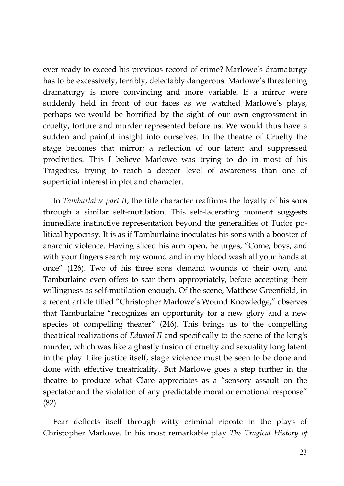ever ready to exceed his previous record of crime? Marlowe's dramaturgy has to be excessively, terribly, delectably dangerous. Marlowe's threatening dramaturgy is more convincing and more variable. If a mirror were suddenly held in front of our faces as we watched Marlowe's plays, perhaps we would be horrified by the sight of our own engrossment in cruelty, torture and murder represented before us. We would thus have a sudden and painful insight into ourselves. In the theatre of Cruelty the stage becomes that mirror; a reflection of our latent and suppressed proclivities. This I believe Marlowe was trying to do in most of his Tragedies, trying to reach a deeper level of awareness than one of superficial interest in plot and character.

In *Tamburlaine part II*, the title character reaffirms the loyalty of his sons through a similar self-mutilation. This self-lacerating moment suggests immediate instinctive representation beyond the generalities of Tudor political hypocrisy. It is as if Tamburlaine inoculates his sons with a booster of anarchic violence. Having sliced his arm open, he urges, "Come, boys, and with your fingers search my wound and in my blood wash all your hands at once" (126). Two of his three sons demand wounds of their own, and Tamburlaine even offers to scar them appropriately, before accepting their willingness as self-mutilation enough. Of the scene, Matthew Greenfield, in a recent article titled "Christopher Marlowe's Wound Knowledge," observes that Tamburlaine "recognizes an opportunity for a new glory and a new species of compelling theater" (246). This brings us to the compelling theatrical realizations of *Edward II* and specifically to the scene of the king's murder, which was like a ghastly fusion of cruelty and sexuality long latent in the play. Like justice itself, stage violence must be seen to be done and done with effective theatricality. But Marlowe goes a step further in the theatre to produce what Clare appreciates as a "sensory assault on the spectator and the violation of any predictable moral or emotional response" (82).

Fear deflects itself through witty criminal riposte in the plays of Christopher Marlowe. In his most remarkable play *The Tragical History of*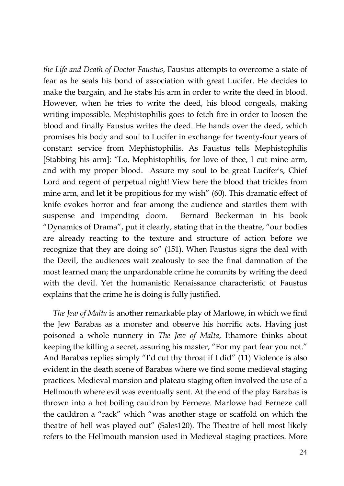*the Life and Death of Doctor Faustus*, Faustus attempts to overcome a state of fear as he seals his bond of association with great Lucifer. He decides to make the bargain, and he stabs his arm in order to write the deed in blood. However, when he tries to write the deed, his blood congeals, making writing impossible. Mephistophilis goes to fetch fire in order to loosen the blood and finally Faustus writes the deed. He hands over the deed, which promises his body and soul to Lucifer in exchange for twenty-four years of constant service from Mephistophilis. As Faustus tells Mephistophilis [Stabbing his arm]: "Lo, Mephistophilis, for love of thee, I cut mine arm, and with my proper blood. Assure my soul to be great Lucifer's, Chief Lord and regent of perpetual night! View here the blood that trickles from mine arm, and let it be propitious for my wish" (60). This dramatic effect of knife evokes horror and fear among the audience and startles them with suspense and impending doom. Bernard Beckerman in his book "Dynamics of Drama", put it clearly, stating that in the theatre, "our bodies are already reacting to the texture and structure of action before we recognize that they are doing so" (151). When Faustus signs the deal with the Devil, the audiences wait zealously to see the final damnation of the most learned man; the unpardonable crime he commits by writing the deed with the devil. Yet the humanistic Renaissance characteristic of Faustus explains that the crime he is doing is fully justified.

*The Jew of Malta* is another remarkable play of Marlowe, in which we find the Jew Barabas as a monster and observe his horrific acts. Having just poisoned a whole nunnery in *The Jew of Malta*, Ithamore thinks about keeping the killing a secret, assuring his master, "For my part fear you not." And Barabas replies simply "I'd cut thy throat if I did" (11) Violence is also evident in the death scene of Barabas where we find some medieval staging practices. Medieval mansion and plateau staging often involved the use of a Hellmouth where evil was eventually sent. At the end of the play Barabas is thrown into a hot boiling cauldron by Ferneze. Marlowe had Ferneze call the cauldron a "rack" which "was another stage or scaffold on which the theatre of hell was played out" (Sales120). The Theatre of hell most likely refers to the Hellmouth mansion used in Medieval staging practices. More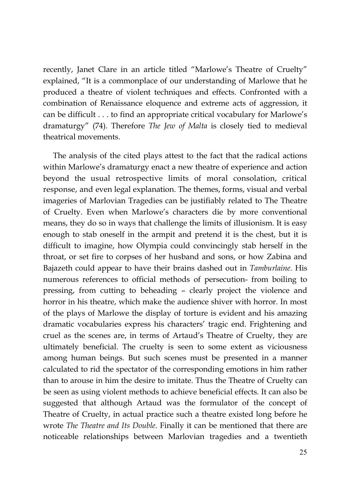recently, Janet Clare in an article titled "Marlowe's Theatre of Cruelty" explained, "It is a commonplace of our understanding of Marlowe that he produced a theatre of violent techniques and effects. Confronted with a combination of Renaissance eloquence and extreme acts of aggression, it can be difficult . . . to find an appropriate critical vocabulary for Marlowe's dramaturgy" (74). Therefore *The Jew of Malta* is closely tied to medieval theatrical movements.

The analysis of the cited plays attest to the fact that the radical actions within Marlowe's dramaturgy enact a new theatre of experience and action beyond the usual retrospective limits of moral consolation, critical response, and even legal explanation. The themes, forms, visual and verbal imageries of Marlovian Tragedies can be justifiably related to The Theatre of Cruelty. Even when Marlowe's characters die by more conventional means, they do so in ways that challenge the limits of illusionism. It is easy enough to stab oneself in the armpit and pretend it is the chest, but it is difficult to imagine, how Olympia could convincingly stab herself in the throat, or set fire to corpses of her husband and sons, or how Zabina and Bajazeth could appear to have their brains dashed out in *Tamburlaine.* His numerous references to official methods of persecution- from boiling to pressing, from cutting to beheading – clearly project the violence and horror in his theatre, which make the audience shiver with horror. In most of the plays of Marlowe the display of torture is evident and his amazing dramatic vocabularies express his characters' tragic end. Frightening and cruel as the scenes are, in terms of Artaud's Theatre of Cruelty, they are ultimately beneficial. The cruelty is seen to some extent as viciousness among human beings. But such scenes must be presented in a manner calculated to rid the spectator of the corresponding emotions in him rather than to arouse in him the desire to imitate. Thus the Theatre of Cruelty can be seen as using violent methods to achieve beneficial effects. It can also be suggested that although Artaud was the formulator of the concept of Theatre of Cruelty, in actual practice such a theatre existed long before he wrote *The Theatre and Its Double*. Finally it can be mentioned that there are noticeable relationships between Marlovian tragedies and a twentieth